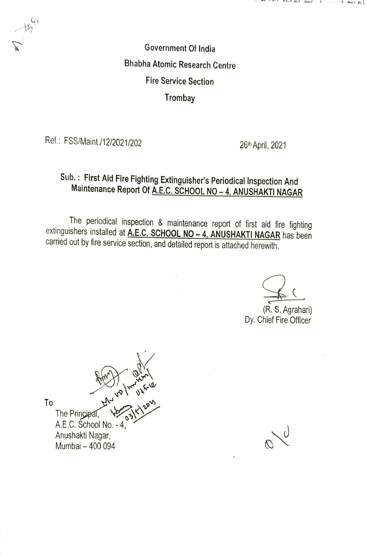Government Of India Bhabha Atomic Research Centre Fire Service Section **Trombay** 

Ref.: FSS/Maint./12/2021/202 26th April, 2021

# Sub.: First Aid Fire Fighting Extinguisher's Periodical Inspection And Maintenance Report Of A.E.C. SCHOOL NO-4. ANUSHAKTI NAGAR

The periodical inspection & maintenance report of first aid fire fighting extinguishers installed at A.E.C. SCHOOL NO - 4, ANUSHAKTINAGAR has been carried out by fire service section, and detailed report is attached herewith.

(R.S. Agrahari) Dy. Chief Fire Officer

To The Principal, A.E.C. School No. -4, Anushakti Nagar, Mumbai-400 094